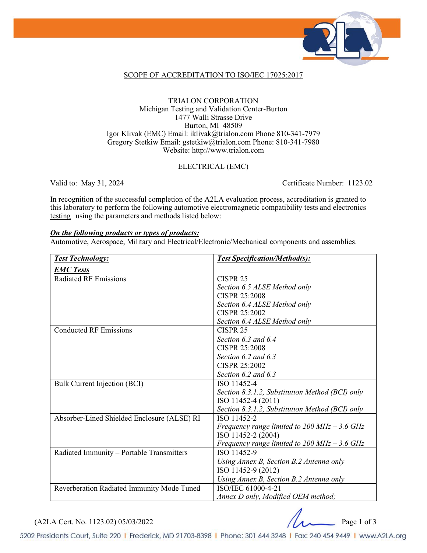

### SCOPE OF ACCREDITATION TO ISO/IEC 17025:2017

#### TRIALON CORPORATION Michigan Testing and Validation Center-Burton 1477 Walli Strasse Drive Burton, MI 48509 Igor Klivak (EMC) Email: iklivak@trialon.com Phone 810-341-7979 Gregory Stetkiw Email: gstetkiw@trialon.com Phone: 810-341-7980 Website: http://www.trialon.com

### ELECTRICAL (EMC)

Valid to: May 31, 2024 Certificate Number: 1123.02

In recognition of the successful completion of the A2LA evaluation process, accreditation is granted to this laboratory to perform the following automotive electromagnetic compatibility tests and electronics testing using the parameters and methods listed below:

#### *On the following products or types of products:*

Automotive, Aerospace, Military and Electrical/Electronic/Mechanical components and assemblies.

| <b>Test Technology:</b>                     | <b>Test Specification/Method(s):</b>                           |
|---------------------------------------------|----------------------------------------------------------------|
| <b>EMC Tests</b>                            |                                                                |
| <b>Radiated RF Emissions</b>                | CISPR <sub>25</sub>                                            |
|                                             | Section 6.5 ALSE Method only                                   |
|                                             | <b>CISPR 25:2008</b>                                           |
|                                             | Section 6.4 ALSE Method only                                   |
|                                             | CISPR 25:2002                                                  |
|                                             | Section 6.4 ALSE Method only                                   |
| <b>Conducted RF Emissions</b>               | CISPR <sub>25</sub>                                            |
|                                             | Section $6.3$ and $6.4$                                        |
|                                             | <b>CISPR 25:2008</b>                                           |
|                                             | Section $6.2$ and $6.3$                                        |
|                                             | <b>CISPR 25:2002</b>                                           |
|                                             | Section 6.2 and 6.3                                            |
| Bulk Current Injection (BCI)                | ISO 11452-4                                                    |
|                                             | Section 8.3.1.2, Substitution Method (BCI) only                |
|                                             | ISO 11452-4 (2011)                                             |
|                                             | Section 8.3.1.2, Substitution Method (BCI) only                |
| Absorber-Lined Shielded Enclosure (ALSE) RI | ISO 11452-2                                                    |
|                                             | Frequency range limited to $200 \text{ MHz} - 3.6 \text{ GHz}$ |
|                                             | ISO 11452-2 (2004)                                             |
|                                             | Frequency range limited to $200 \text{ MHz} - 3.6 \text{ GHz}$ |
| Radiated Immunity - Portable Transmitters   | ISO 11452-9                                                    |
|                                             | Using Annex B, Section B.2 Antenna only                        |
|                                             | ISO 11452-9 (2012)                                             |
|                                             | Using Annex B, Section B.2 Antenna only                        |
| Reverberation Radiated Immunity Mode Tuned  | ISO/IEC 61000-4-21                                             |
|                                             | Annex D only, Modified OEM method;                             |

(A2LA Cert. No. 1123.02) 05/03/2022 Page 1 of 3

5202 Presidents Court, Suite 220 | Frederick, MD 21703-8398 | Phone: 301 644 3248 | Fax: 240 454 9449 | www.A2LA.org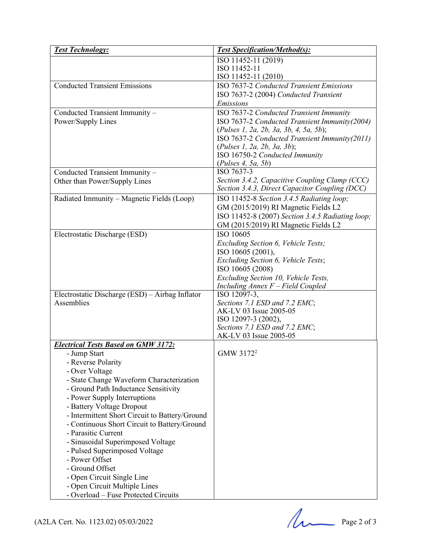| <b>Test Technology:</b>                         | <b>Test Specification/Method(s):</b>             |
|-------------------------------------------------|--------------------------------------------------|
|                                                 | ISO 11452-11 (2019)                              |
|                                                 | ISO 11452-11                                     |
|                                                 | ISO 11452-11 (2010)                              |
| <b>Conducted Transient Emissions</b>            | ISO 7637-2 Conducted Transient Emissions         |
|                                                 | ISO 7637-2 (2004) Conducted Transient            |
|                                                 | Emissions                                        |
| Conducted Transient Immunity -                  | ISO 7637-2 Conducted Transient Immunity          |
| Power/Supply Lines                              | ISO 7637-2 Conducted Transient Immunity(2004)    |
|                                                 | (Pulses 1, 2a, 2b, 3a, 3b, 4, 5a, 5b);           |
|                                                 | ISO 7637-2 Conducted Transient Immunity(2011)    |
|                                                 | (Pulses 1, 2a, 2b, 3a, 3b);                      |
|                                                 | ISO 16750-2 Conducted Immunity                   |
|                                                 | (Pulses 4, 5a, 5b)                               |
| Conducted Transient Immunity -                  | ISO 7637-3                                       |
| Other than Power/Supply Lines                   | Section 3.4.2, Capacitive Coupling Clamp (CCC)   |
|                                                 | Section 3.4.3, Direct Capacitor Coupling (DCC)   |
| Radiated Immunity - Magnetic Fields (Loop)      | ISO 11452-8 Section 3.4.5 Radiating loop;        |
|                                                 | GM (2015/2019) RI Magnetic Fields L2             |
|                                                 | ISO 11452-8 (2007) Section 3.4.5 Radiating loop; |
|                                                 | GM (2015/2019) RI Magnetic Fields L2             |
| Electrostatic Discharge (ESD)                   | ISO 10605                                        |
|                                                 | Excluding Section 6, Vehicle Tests;              |
|                                                 | ISO 10605 (2001),                                |
|                                                 | Excluding Section 6, Vehicle Tests;              |
|                                                 | ISO 10605 (2008)                                 |
|                                                 | Excluding Section 10, Vehicle Tests,             |
|                                                 | Including Annex F - Field Coupled                |
| Electrostatic Discharge (ESD) - Airbag Inflator | ISO 12097-3,                                     |
| Assemblies                                      | Sections 7.1 ESD and 7.2 EMC;                    |
|                                                 | AK-LV 03 Issue 2005-05                           |
|                                                 | ISO 12097-3 (2002),                              |
|                                                 | Sections 7.1 ESD and 7.2 EMC;                    |
|                                                 | AK-LV 03 Issue 2005-05                           |
| <b>Electrical Tests Based on GMW 3172:</b>      |                                                  |
| - Jump Start                                    | GMW 3172 <sup>2</sup>                            |
| - Reverse Polarity                              |                                                  |
| - Over Voltage                                  |                                                  |
| - State Change Waveform Characterization        |                                                  |
| - Ground Path Inductance Sensitivity            |                                                  |
| - Power Supply Interruptions                    |                                                  |
| - Battery Voltage Dropout                       |                                                  |
|                                                 |                                                  |
| - Intermittent Short Circuit to Battery/Ground  |                                                  |
| - Continuous Short Circuit to Battery/Ground    |                                                  |
| - Parasitic Current                             |                                                  |
| - Sinusoidal Superimposed Voltage               |                                                  |
| - Pulsed Superimposed Voltage                   |                                                  |
| - Power Offset                                  |                                                  |
| - Ground Offset                                 |                                                  |
| - Open Circuit Single Line                      |                                                  |
| - Open Circuit Multiple Lines                   |                                                  |
| - Overload - Fuse Protected Circuits            |                                                  |
|                                                 |                                                  |
|                                                 |                                                  |
| (A2LA Cert. No. 1123.02) 05/03/2022             | Page 2 of 3                                      |
|                                                 |                                                  |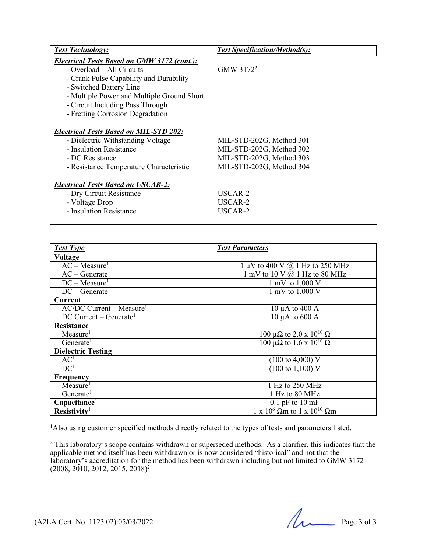| <b>Test Technology:</b>                       | <b>Test Specification/Method(s):</b> |
|-----------------------------------------------|--------------------------------------|
| Electrical Tests Based on GMW 3172 (cont.):   |                                      |
| - Overload – All Circuits                     | GMW 3172 <sup>2</sup>                |
| - Crank Pulse Capability and Durability       |                                      |
| - Switched Battery Line                       |                                      |
| - Multiple Power and Multiple Ground Short    |                                      |
| - Circuit Including Pass Through              |                                      |
| - Fretting Corrosion Degradation              |                                      |
|                                               |                                      |
| <b>Electrical Tests Based on MIL-STD 202:</b> |                                      |
| - Dielectric Withstanding Voltage             | MIL-STD-202G, Method 301             |
| - Insulation Resistance                       | MIL-STD-202G, Method 302             |
| - DC Resistance                               | MIL-STD-202G, Method 303             |
| - Resistance Temperature Characteristic       | MIL-STD-202G, Method 304             |
|                                               |                                      |
| <b>Electrical Tests Based on USCAR-2:</b>     |                                      |
| - Dry Circuit Resistance                      | USCAR-2                              |
| - Voltage Drop                                | USCAR-2                              |
| - Insulation Resistance                       | USCAR-2                              |
|                                               |                                      |

| <b>Test Type</b>                       | <b>Test Parameters</b>                         |
|----------------------------------------|------------------------------------------------|
| <b>Voltage</b>                         |                                                |
| $AC - Measure1$                        | $1 \mu V$ to 400 V $\omega$ 1 Hz to 250 MHz    |
| $AC - Generate1$                       | 1 mV to 10 V $@$ 1 Hz to 80 MHz                |
| $DC - Measure1$                        | 1 mV to $1,000$ V                              |
| $DC - Generate1$                       | 1 mV to 1,000 V                                |
| Current                                |                                                |
| $AC/DC$ Current – Measure <sup>1</sup> | 10 $\mu$ A to 400 A                            |
| $DC$ Current – Generate <sup>1</sup>   | $10 \mu A$ to $600 A$                          |
| Resistance                             |                                                |
| Measure <sup>1</sup>                   | 100 μΩ to 2.0 x $10^{10}$ Ω                    |
| Generate <sup>1</sup>                  | $100 \mu\Omega$ to $1.6 \times 10^{10} \Omega$ |
| <b>Dielectric Testing</b>              |                                                |
| AC <sup>1</sup>                        | $(100 \text{ to } 4,000)$ V                    |
| DC <sup>1</sup>                        | $(100 \text{ to } 1,100) \text{ V}$            |
| Frequency                              |                                                |
| Measure                                | 1 Hz to 250 MHz                                |
| Generate <sup>1</sup>                  | 1 Hz to 80 MHz                                 |
| Capacitance <sup>1</sup>               | $0.1$ pF to $10 \text{ mF}$                    |
| Resistivity <sup>1</sup>               | $1 \times 10^6$ Qm to $1 \times 10^{10}$ Qm    |

<sup>1</sup>Also using customer specified methods directly related to the types of tests and parameters listed.

 $2$  This laboratory's scope contains withdrawn or superseded methods. As a clarifier, this indicates that the applicable method itself has been withdrawn or is now considered "historical" and not that the laboratory's accreditation for the method has been withdrawn including but not limited to GMW 3172 (2008, 2010, 2012, 2015, 2018) 2

 $(A2LA$  Cert. No. 1123.02) 05/03/2022 Page 3 of 3